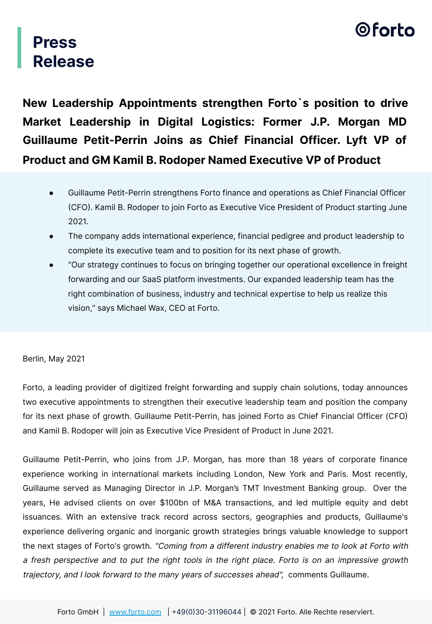## ©forto

### **Press Release**

**New Leadership Appointments strengthen Forto`s position to drive Market Leadership in Digital Logistics: Former J.P. Morgan MD Guillaume Petit-Perrin Joins as Chief Financial Officer. Lyft VP of Product and GM Kamil B. Rodoper Named Executive VP of Product** 

- Guillaume Petit-Perrin strengthens Forto finance and operations as Chief Financial Officer CFO. Kamil B. Rodoper to join Forto as Executive Vice President of Product starting June 2021.
- The company adds international experience, financial pedigree and product leadership to complete its executive team and to position for its next phase of growth.
- "Our strategy continues to focus on bringing together our operational excellence in freight forwarding and our SaaS platform investments. Our expanded leadership team has the right combination of business, industry and technical expertise to help us realize this vision," says Michael Wax, CEO at Forto.

#### Berlin, May 2021

Forto, a leading provider of digitized freight forwarding and supply chain solutions, today announces two executive appointments to strengthen their executive leadership team and position the company for its next phase of growth. Guillaume Petit-Perrin, has joined Forto as Chief Financial Officer (CFO and Kamil B. Rodoper will join as Executive Vice President of Product in June 2021.

Guillaume Petit-Perrin, who joins from J.P. Morgan, has more than 18 years of corporate finance experience working in international markets including London, New York and Paris. Most recently, Guillaume served as Managing Director in J.P. Morgan's TMT Investment Banking group. Over the years, He advised clients on over \$100bn of M&A transactions, and led multiple equity and debt issuances. With an extensive track record across sectors, geographies and products, Guillaume's experience delivering organic and inorganic growth strategies brings valuable knowledge to support the next stages of Forto's growth. "Coming from a different industry enables me to look at Forto with a fresh perspective and to put the right tools in the right place. Forto is on an impressive growth trajectory, and I look forward to the many years of successes ahead", comments Guillaume.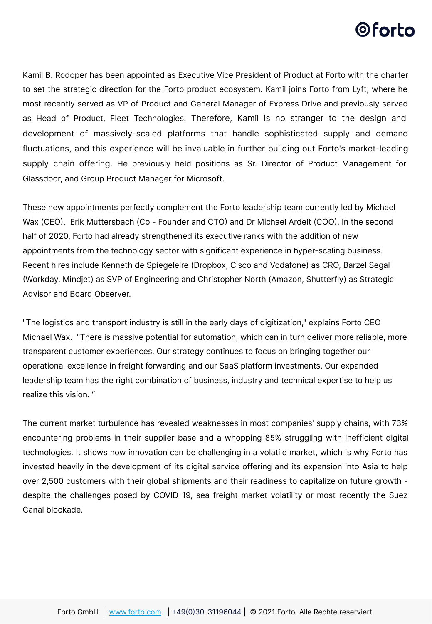### 0forto

Kamil B. Rodoper has been appointed as Executive Vice President of Product at Forto with the charter to set the strategic direction for the Forto product ecosystem. Kamil joins Forto from Lyft, where he most recently served as VP of Product and General Manager of Express Drive and previously served as Head of Product, Fleet Technologies. Therefore, Kamil is no stranger to the design and development of massively-scaled platforms that handle sophisticated supply and demand fluctuations, and this experience will be invaluable in further building out Forto's market-leading supply chain offering. He previously held positions as Sr. Director of Product Management for Glassdoor, and Group Product Manager for Microsoft.

These new appointments perfectly complement the Forto leadership team currently led by Michael Wax (CEO), Erik Muttersbach (Co - Founder and CTO) and Dr Michael Ardelt (COO). In the second half of 2020, Forto had already strengthened its executive ranks with the addition of new appointments from the technology sector with significant experience in hyper-scaling business. Recent hires include Kenneth de Spiegeleire (Dropbox, Cisco and Vodafone) as CRO, Barzel Segal Workday, Mindjet) as SVP of Engineering and Christopher North (Amazon, Shutterfly) as Strategic Advisor and Board Observer.

"The logistics and transport industry is still in the early days of digitization," explains Forto CEO Michael Wax. "There is massive potential for automation, which can in turn deliver more reliable, more transparent customer experiences. Our strategy continues to focus on bringing together our operational excellence in freight forwarding and our SaaS platform investments. Our expanded leadership team has the right combination of business, industry and technical expertise to help us realize this vision. "

The current market turbulence has revealed weaknesses in most companies' supply chains, with 73% encountering problems in their supplier base and a whopping 85% struggling with inefficient digital technologies. It shows how innovation can be challenging in a volatile market, which is why Forto has invested heavily in the development of its digital service offering and its expansion into Asia to help over 2,500 customers with their global shipments and their readiness to capitalize on future growth despite the challenges posed by COVID-19, sea freight market volatility or most recently the Suez Canal blockade.